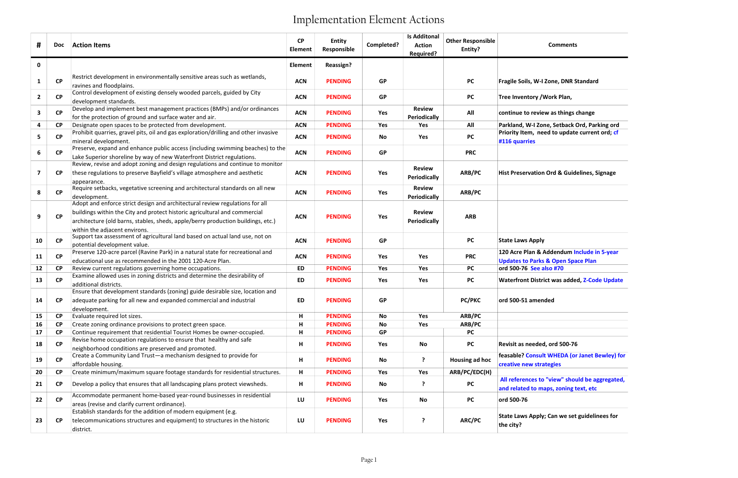### Comments

| #            | <b>Doc</b> | <b>Action Items</b>                                                                                                                                                                                                                                                             | <b>CP</b><br><b>Element</b> | <b>Entity</b><br>Responsible | Completed? | <b>Is Additonal</b><br><b>Action</b><br>Required? | <b>Other Responsible</b><br>Entity? | <b>Comments</b>                                                                             |
|--------------|------------|---------------------------------------------------------------------------------------------------------------------------------------------------------------------------------------------------------------------------------------------------------------------------------|-----------------------------|------------------------------|------------|---------------------------------------------------|-------------------------------------|---------------------------------------------------------------------------------------------|
| $\mathbf 0$  |            |                                                                                                                                                                                                                                                                                 | <b>Element</b>              | <b>Reassign?</b>             |            |                                                   |                                     |                                                                                             |
| 1            | CP         | Restrict development in environmentally sensitive areas such as wetlands,<br>ravines and floodplains.                                                                                                                                                                           | <b>ACN</b>                  | <b>PENDING</b>               | GP         |                                                   | <b>PC</b>                           | Fragile Soils, W-I Zone, DNR Standard                                                       |
| $\mathbf{2}$ | CP         | Control development of existing densely wooded parcels, guided by City<br>development standards.                                                                                                                                                                                | <b>ACN</b>                  | <b>PENDING</b>               | <b>GP</b>  |                                                   | <b>PC</b>                           | Tree Inventory / Work Plan,                                                                 |
| 3            | <b>CP</b>  | Develop and implement best management practices (BMPs) and/or ordinances<br>for the protection of ground and surface water and air.                                                                                                                                             | <b>ACN</b>                  | <b>PENDING</b>               | Yes        | <b>Review</b><br><b>Periodically</b>              | All                                 | continue to review as things change                                                         |
| 4            | <b>CP</b>  | Designate open spaces to be protected from development.                                                                                                                                                                                                                         | <b>ACN</b>                  | <b>PENDING</b>               | Yes        | Yes                                               | All                                 | Parkland, W-I Zone, Setback Ord, Parking ord                                                |
| 5            | CP         | Prohibit quarries, gravel pits, oil and gas exploration/drilling and other invasive<br>mineral development.                                                                                                                                                                     | <b>ACN</b>                  | <b>PENDING</b>               | No         | Yes                                               | <b>PC</b>                           | Priority Item, need to update current ord; cf<br>#116 quarries                              |
| 6            | CP         | Preserve, expand and enhance public access (including swimming beaches) to the<br>Lake Superior shoreline by way of new Waterfront District regulations.                                                                                                                        | <b>ACN</b>                  | <b>PENDING</b>               | <b>GP</b>  |                                                   | <b>PRC</b>                          |                                                                                             |
| 7            | <b>CP</b>  | Review, revise and adopt zoning and design regulations and continue to monitor<br>these regulations to preserve Bayfield's village atmosphere and aesthetic<br>appearance.                                                                                                      | <b>ACN</b>                  | <b>PENDING</b>               | Yes        | <b>Review</b><br><b>Periodically</b>              | ARB/PC                              | <b>Hist Preservation Ord &amp; Guidelines, Signage</b>                                      |
| 8            | CP         | Require setbacks, vegetative screening and architectural standards on all new<br>development.                                                                                                                                                                                   | <b>ACN</b>                  | <b>PENDING</b>               | Yes        | <b>Review</b><br>Periodically                     | ARB/PC                              |                                                                                             |
| 9            | CP         | Adopt and enforce strict design and architectural review regulations for all<br>buildings within the City and protect historic agricultural and commercial<br>architecture (old barns, stables, sheds, apple/berry production buildings, etc.)<br>within the adjacent environs. | <b>ACN</b>                  | <b>PENDING</b>               | Yes        | <b>Review</b><br><b>Periodically</b>              | <b>ARB</b>                          |                                                                                             |
| 10           | <b>CP</b>  | Support tax assessment of agricultural land based on actual land use, not on<br>potential development value.                                                                                                                                                                    | <b>ACN</b>                  | <b>PENDING</b>               | <b>GP</b>  |                                                   | <b>PC</b>                           | <b>State Laws Apply</b>                                                                     |
| 11           | CP         | Preserve 120-acre parcel (Ravine Park) in a natural state for recreational and<br>educational use as recommended in the 2001 120-Acre Plan.                                                                                                                                     | <b>ACN</b>                  | <b>PENDING</b>               | Yes        | Yes                                               | <b>PRC</b>                          | 120 Acre Plan & Addendum Include in 5-year<br><b>Updates to Parks &amp; Open Space Plan</b> |
| 12           | <b>CP</b>  | Review current regulations governing home occupations.                                                                                                                                                                                                                          | <b>ED</b>                   | <b>PENDING</b>               | Yes        | Yes                                               | PC                                  | ord 500-76 See also #70                                                                     |
| 13           | <b>CP</b>  | Examine allowed uses in zoning districts and determine the desirability of<br>additional districts.<br>Ensure that development standards (zoning) guide desirable size, location and                                                                                            | ED                          | <b>PENDING</b>               | Yes        | Yes                                               | <b>PC</b>                           | <b>Waterfront District was added, Z-Code Update</b>                                         |
| 14           | <b>CP</b>  | adequate parking for all new and expanded commercial and industrial<br>development.                                                                                                                                                                                             | ED                          | <b>PENDING</b>               | <b>GP</b>  |                                                   | <b>PC/PKC</b>                       | ord 500-51 amended                                                                          |
| 15           | <b>CP</b>  | Evaluate required lot sizes.                                                                                                                                                                                                                                                    | H                           | <b>PENDING</b>               | No         | Yes                                               | ARB/PC                              |                                                                                             |
| 16           | <b>CP</b>  | Create zoning ordinance provisions to protect green space.                                                                                                                                                                                                                      | н                           | <b>PENDING</b>               | No         | Yes                                               | ARB/PC                              |                                                                                             |
| 17           | <b>CP</b>  | Continue requirement that residential Tourist Homes be owner-occupied.                                                                                                                                                                                                          | н                           | <b>PENDING</b>               | <b>GP</b>  |                                                   | <b>PC</b>                           |                                                                                             |
| 18           | CP         | Revise home occupation regulations to ensure that healthy and safe<br>neighborhood conditions are preserved and promoted.                                                                                                                                                       | н                           | <b>PENDING</b>               | Yes        | No                                                | <b>PC</b>                           | Revisit as needed, ord 500-76                                                               |
| 19           | <b>CP</b>  | Create a Community Land Trust-a mechanism designed to provide for<br>affordable housing.                                                                                                                                                                                        | Н                           | <b>PENDING</b>               | No         | ?                                                 | Housing ad hoc                      | feasable? Consult WHEDA (or Janet Bewley) for<br>creative new strategies                    |
| 20           | <b>CP</b>  | Create minimum/maximum square footage standards for residential structures.                                                                                                                                                                                                     | н                           | <b>PENDING</b>               | Yes        | Yes                                               | ARB/PC/EDC(H)                       |                                                                                             |
| 21           | <b>CP</b>  | Develop a policy that ensures that all landscaping plans protect viewsheds.                                                                                                                                                                                                     | н                           | <b>PENDING</b>               | No         | ?                                                 | <b>PC</b>                           | All references to "view" should be aggregated,<br>and related to maps, zoning text, etc     |
| 22           | <b>CP</b>  | Accommodate permanent home-based year-round businesses in residential<br>areas (revise and clarify current ordinance).                                                                                                                                                          | LU                          | <b>PENDING</b>               | Yes        | No                                                | <b>PC</b>                           | ord 500-76                                                                                  |
| 23           | <b>CP</b>  | Establish standards for the addition of modern equipment (e.g.<br>telecommunications structures and equipment) to structures in the historic<br>district.                                                                                                                       | LU                          | <b>PENDING</b>               | Yes        | ?                                                 | ARC/PC                              | <b>State Laws Apply; Can we set guidelinees for</b><br>the city?                            |
|              |            |                                                                                                                                                                                                                                                                                 |                             |                              |            |                                                   |                                     |                                                                                             |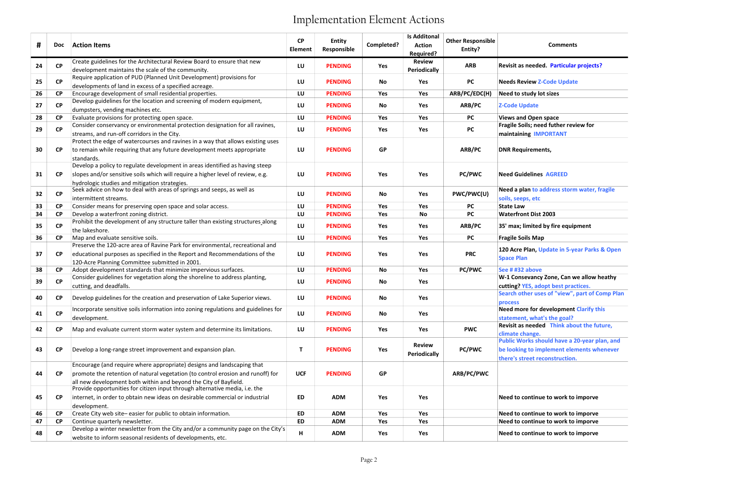### Comments

d. Particular projects?

ddress storm water, fragile

Ipdate in 5-year Parks & Open

Zone, Can we allow heathy

opt best practices. es of "view", part of Comp Plan

**Nevelopment Clarify this** t's the goal? d Think about the future,

ould have a 20-year plan, and plement elements whenever construction.

## e to work to imporve

e to work to imporve e to work to imporve

| #  | Doc <b>D</b> | <b>Action Items</b>                                                                                                                                                                                                           | <b>CP</b><br>Element | <b>Entity</b><br>Responsible | Completed? | <b>Is Additonal</b><br><b>Action</b><br>Required? | <b>Other Responsible</b><br>Entity? | <b>Comments</b>                                                                                                       |
|----|--------------|-------------------------------------------------------------------------------------------------------------------------------------------------------------------------------------------------------------------------------|----------------------|------------------------------|------------|---------------------------------------------------|-------------------------------------|-----------------------------------------------------------------------------------------------------------------------|
| 24 | CP           | Create guidelines for the Architectural Review Board to ensure that new<br>development maintains the scale of the community.                                                                                                  | LU                   | <b>PENDING</b>               | Yes        | <b>Review</b><br><b>Periodically</b>              | <b>ARB</b>                          | Revisit as needed. Particular projects                                                                                |
| 25 | CP           | Require application of PUD (Planned Unit Development) provisions for<br>developments of land in excess of a specified acreage.                                                                                                | LU                   | <b>PENDING</b>               | No         | Yes                                               | <b>PC</b>                           | <b>Needs Review Z-Code Update</b>                                                                                     |
| 26 | CP           | Encourage development of small residential properties.                                                                                                                                                                        | LU                   | <b>PENDING</b>               | Yes        | Yes                                               | ARB/PC/EDC(H)                       | Need to study lot sizes                                                                                               |
| 27 | <b>CP</b>    | Develop guidelines for the location and screening of modern equipment,<br>dumpsters, vending machines etc.                                                                                                                    | LU                   | <b>PENDING</b>               | No         | Yes                                               | ARB/PC                              | <b>Z-Code Update</b>                                                                                                  |
| 28 | <b>CP</b>    | Evaluate provisions for protecting open space.                                                                                                                                                                                | LU                   | <b>PENDING</b>               | Yes        | Yes                                               | <b>PC</b>                           | <b>Views and Open space</b>                                                                                           |
| 29 | CP           | Consider conservancy or environmental protection designation for all ravines,<br>streams, and run-off corridors in the City.                                                                                                  | LU                   | <b>PENDING</b>               | Yes        | Yes                                               | <b>PC</b>                           | Fragile Soils; need futher review for<br>maintaining IMPORTANT                                                        |
| 30 | <b>CP</b>    | Protect the edge of watercourses and ravines in a way that allows existing uses<br>to remain while requiring that any future development meets appropriate<br>standards.                                                      | LU                   | <b>PENDING</b>               | <b>GP</b>  |                                                   | ARB/PC                              | <b>DNR Requirements,</b>                                                                                              |
| 31 | <b>CP</b>    | Develop a policy to regulate development in areas identified as having steep<br>slopes and/or sensitive soils which will require a higher level of review, e.g.<br>hydrologic studies and mitigation strategies.              | LU                   | <b>PENDING</b>               | Yes        | Yes                                               | <b>PC/PWC</b>                       | <b>Need Guidelines AGREED</b>                                                                                         |
| 32 | CP           | Seek advice on how to deal with areas of springs and seeps, as well as<br>intermittent streams.                                                                                                                               | LU                   | <b>PENDING</b>               | No         | Yes                                               | PWC/PWC(U)                          | Need a plan to address storm water, f<br>soils, seeps, etc                                                            |
| 33 | <b>CP</b>    | Consider means for preserving open space and solar access.                                                                                                                                                                    | LU                   | <b>PENDING</b>               | Yes        | Yes                                               | <b>PC</b>                           | <b>State Law</b>                                                                                                      |
| 34 | <b>CP</b>    | Develop a waterfront zoning district.                                                                                                                                                                                         | LU                   | <b>PENDING</b>               | Yes        | <b>No</b>                                         | <b>PC</b>                           | <b>Waterfront Dist 2003</b>                                                                                           |
| 35 | <b>CP</b>    | Prohibit the development of any structure taller than existing structures along<br>the lakeshore.                                                                                                                             | LU                   | <b>PENDING</b>               | Yes        | Yes                                               | ARB/PC                              | 35' max; limited by fire equipment                                                                                    |
| 36 | <b>CP</b>    | Map and evaluate sensitive soils.                                                                                                                                                                                             | LU                   | <b>PENDING</b>               | Yes        | Yes                                               | <b>PC</b>                           | <b>Fragile Soils Map</b>                                                                                              |
| 37 | <b>CP</b>    | Preserve the 120-acre area of Ravine Park for environmental, recreational and<br>educational purposes as specified in the Report and Recommendations of the<br>120-Acre Planning Committee submitted in 2001.                 | LU                   | <b>PENDING</b>               | Yes        | Yes                                               | <b>PRC</b>                          | 120 Acre Plan, Update in 5-year Parks<br><b>Space Plan</b>                                                            |
| 38 | <b>CP</b>    | Adopt development standards that minimize impervious surfaces.                                                                                                                                                                | LU                   | <b>PENDING</b>               | No         | Yes                                               | <b>PC/PWC</b>                       | See # #32 above                                                                                                       |
| 39 | CP           | Consider guidelines for vegetation along the shoreline to address planting,<br>cutting, and deadfalls.                                                                                                                        | LU                   | <b>PENDING</b>               | No         | Yes                                               |                                     | W-1 Consevancy Zone, Can we allow h<br>cutting? YES, adopt best practices.                                            |
| 40 | <b>CP</b>    | Develop guidelines for the creation and preservation of Lake Superior views.                                                                                                                                                  | LU                   | <b>PENDING</b>               | No         | Yes                                               |                                     | Search other uses of "view", part of C<br>process                                                                     |
| 41 | CP           | Incorporate sensitive soils information into zoning regulations and guidelines for<br>development.                                                                                                                            | LU                   | <b>PENDING</b>               | No         | Yes                                               |                                     | Need more for development Clarify th<br>statement, what's the goal?                                                   |
| 42 | <b>CP</b>    | Map and evaluate current storm water system and determine its limitations.                                                                                                                                                    | LU                   | <b>PENDING</b>               | Yes        | Yes                                               | <b>PWC</b>                          | Revisit as needed Think about the fut<br>climate change.                                                              |
| 43 | <b>CP</b>    | Develop a long-range street improvement and expansion plan.                                                                                                                                                                   | T                    | <b>PENDING</b>               | Yes        | <b>Review</b><br><b>Periodically</b>              | <b>PC/PWC</b>                       | <b>Public Works should have a 20-year pl</b><br>be looking to implement elements wh<br>there's street reconstruction. |
| 44 | <b>CP</b>    | Encourage (and require where appropriate) designs and landscaping that<br>promote the retention of natural vegetation (to control erosion and runoff) for<br>all new development both within and beyond the City of Bayfield. | <b>UCF</b>           | <b>PENDING</b>               | <b>GP</b>  |                                                   | ARB/PC/PWC                          |                                                                                                                       |
| 45 | <b>CP</b>    | Provide opportunities for citizen input through alternative media, i.e. the<br>internet, in order to obtain new ideas on desirable commercial or industrial<br>development.                                                   | <b>ED</b>            | <b>ADM</b>                   | Yes        | Yes                                               |                                     | Need to continue to work to imporve                                                                                   |
| 46 | <b>CP</b>    | Create City web site-easier for public to obtain information.                                                                                                                                                                 | ED                   | <b>ADM</b>                   | Yes        | Yes                                               |                                     | Need to continue to work to imporve                                                                                   |
| 47 | <b>CP</b>    | Continue quarterly newsletter.                                                                                                                                                                                                | <b>ED</b>            | <b>ADM</b>                   | Yes        | Yes                                               |                                     | Need to continue to work to imporve                                                                                   |
| 48 | <b>CP</b>    | Develop a winter newsletter from the City and/or a community page on the City's<br>website to inform seasonal residents of developments, etc.                                                                                 | н                    | <b>ADM</b>                   | Yes        | Yes                                               |                                     | Need to continue to work to imporve                                                                                   |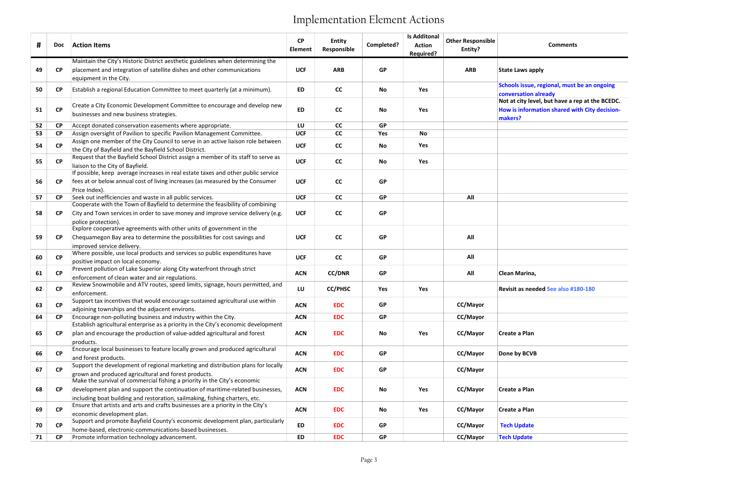## Comments

gional, must be an ongoing Not at city level, but have a rep at the BCEDC. ion shared with City decision-

| #  | <b>Doc</b> | <b>Action Items</b>                                                                                                                                                                                                                       | <b>CP</b><br><b>Element</b> | <b>Entity</b><br>Responsible | Completed? | <b>Is Additonal</b><br><b>Action</b><br>Required? | <b>Other Responsible</b><br>Entity? | <b>Comments</b>                                                                                  |
|----|------------|-------------------------------------------------------------------------------------------------------------------------------------------------------------------------------------------------------------------------------------------|-----------------------------|------------------------------|------------|---------------------------------------------------|-------------------------------------|--------------------------------------------------------------------------------------------------|
|    |            | Maintain the City's Historic District aesthetic guidelines when determining the                                                                                                                                                           |                             |                              |            |                                                   |                                     |                                                                                                  |
| 49 | <b>CP</b>  | placement and integration of satellite dishes and other communications<br>equipment in the City.                                                                                                                                          | <b>UCF</b>                  | <b>ARB</b>                   | <b>GP</b>  |                                                   | <b>ARB</b>                          | <b>State Laws apply</b>                                                                          |
| 50 | <b>CP</b>  | Establish a regional Education Committee to meet quarterly (at a minimum).                                                                                                                                                                | <b>ED</b>                   | cc                           | No         | Yes                                               |                                     | Schools issue, regional, must be an o<br>conversation already                                    |
| 51 | <b>CP</b>  | Create a City Economic Development Committee to encourage and develop new<br>businesses and new business strategies.                                                                                                                      | <b>ED</b>                   | cc                           | No         | Yes                                               |                                     | Not at city level, but have a rep at th<br><b>How is information shared with City</b><br>makers? |
| 52 | <b>CP</b>  | Accept donated conservation easements where appropriate.                                                                                                                                                                                  | LU                          | cc                           | <b>GP</b>  |                                                   |                                     |                                                                                                  |
| 53 | <b>CP</b>  | Assign oversight of Pavilion to specific Pavilion Management Committee.                                                                                                                                                                   | <b>UCF</b>                  | cc                           | Yes        | <b>No</b>                                         |                                     |                                                                                                  |
| 54 | CP         | Assign one member of the City Council to serve in an active liaison role between<br>the City of Bayfield and the Bayfield School District.                                                                                                | <b>UCF</b>                  | cc                           | No         | Yes                                               |                                     |                                                                                                  |
| 55 | CP         | Request that the Bayfield School District assign a member of its staff to serve as<br>liaison to the City of Bayfield.<br>If possible, keep average increases in real estate taxes and other public service                               | <b>UCF</b>                  | cc                           | <b>No</b>  | Yes                                               |                                     |                                                                                                  |
| 56 | <b>CP</b>  | fees at or below annual cost of living increases (as measured by the Consumer<br>Price Index).                                                                                                                                            | <b>UCF</b>                  | cc                           | <b>GP</b>  |                                                   |                                     |                                                                                                  |
| 57 | <b>CP</b>  | Seek out inefficiencies and waste in all public services.                                                                                                                                                                                 | <b>UCF</b>                  | cc                           | <b>GP</b>  |                                                   | All                                 |                                                                                                  |
|    |            | Cooperate with the Town of Bayfield to determine the feasibility of combining                                                                                                                                                             |                             |                              |            |                                                   |                                     |                                                                                                  |
| 58 | <b>CP</b>  | City and Town services in order to save money and improve service delivery (e.g.<br>police protection).                                                                                                                                   | <b>UCF</b>                  | cc                           | <b>GP</b>  |                                                   |                                     |                                                                                                  |
|    |            | Explore cooperative agreements with other units of government in the                                                                                                                                                                      |                             |                              |            |                                                   |                                     |                                                                                                  |
| 59 | <b>CP</b>  | Chequamegon Bay area to determine the possibilities for cost savings and                                                                                                                                                                  | <b>UCF</b>                  | cc                           | <b>GP</b>  |                                                   | All                                 |                                                                                                  |
|    |            | improved service delivery.                                                                                                                                                                                                                |                             |                              |            |                                                   |                                     |                                                                                                  |
| 60 | CP         | Where possible, use local products and services so public expenditures have<br>positive impact on local economy.                                                                                                                          | <b>UCF</b>                  | cc                           | <b>GP</b>  |                                                   | All                                 |                                                                                                  |
| 61 | <b>CP</b>  | Prevent pollution of Lake Superior along City waterfront through strict<br>enforcement of clean water and air regulations.                                                                                                                | <b>ACN</b>                  | <b>CC/DNR</b>                | <b>GP</b>  |                                                   | All                                 | Clean Marina,                                                                                    |
| 62 | CP         | Review Snowmobile and ATV routes, speed limits, signage, hours permitted, and<br>enforcement.                                                                                                                                             | LU                          | <b>CC/PHSC</b>               | Yes        | Yes                                               |                                     | Revisit as needed See also #180-180                                                              |
| 63 | <b>CP</b>  | Support tax incentives that would encourage sustained agricultural use within<br>adjoining townships and the adjacent environs.                                                                                                           | <b>ACN</b>                  | <b>EDC</b>                   | <b>GP</b>  |                                                   | CC/Mayor                            |                                                                                                  |
| 64 | CP         | Encourage non-polluting business and industry within the City.                                                                                                                                                                            | <b>ACN</b>                  | <b>EDC</b>                   | <b>GP</b>  |                                                   | CC/Mayor                            |                                                                                                  |
|    |            | Establish agricultural enterprise as a priority in the City's economic development                                                                                                                                                        |                             |                              |            |                                                   |                                     |                                                                                                  |
| 65 | <b>CP</b>  | plan and encourage the production of value-added agricultural and forest<br>products.                                                                                                                                                     | <b>ACN</b>                  | <b>EDC</b>                   | No         | Yes                                               | CC/Mayor                            | <b>Create a Plan</b>                                                                             |
| 66 | CP         | Encourage local businesses to feature locally grown and produced agricultural<br>and forest products.                                                                                                                                     | <b>ACN</b>                  | <b>EDC</b>                   | <b>GP</b>  |                                                   | CC/Mayor                            | Done by BCVB                                                                                     |
| 67 | CP         | Support the development of regional marketing and distribution plans for locally<br>grown and produced agricultural and forest products.                                                                                                  | <b>ACN</b>                  | <b>EDC</b>                   | <b>GP</b>  |                                                   | CC/Mayor                            |                                                                                                  |
| 68 | CP         | Make the survival of commercial fishing a priority in the City's economic<br>development plan and support the continuation of maritime-related businesses,<br>including boat building and restoration, sailmaking, fishing charters, etc. | <b>ACN</b>                  | <b>EDC</b>                   | No         | Yes                                               | <b>CC/Mayor</b>                     | Create a Plan                                                                                    |
| 69 | CP         | Ensure that artists and arts and crafts businesses are a priority in the City's<br>economic development plan.                                                                                                                             | <b>ACN</b>                  | <b>EDC</b>                   | No         | Yes                                               | <b>CC/Mayor</b>                     | Create a Plan                                                                                    |
| 70 | <b>CP</b>  | Support and promote Bayfield County's economic development plan, particularly<br>home-based, electronic-communications-based businesses.                                                                                                  | ED                          | <b>EDC</b>                   | <b>GP</b>  |                                                   | CC/Mayor                            | <b>Tech Update</b>                                                                               |
| 71 | <b>CP</b>  | Promote information technology advancement.                                                                                                                                                                                               | ED                          | <b>EDC</b>                   | <b>GP</b>  |                                                   | CC/Mayor                            | <b>Tech Update</b>                                                                               |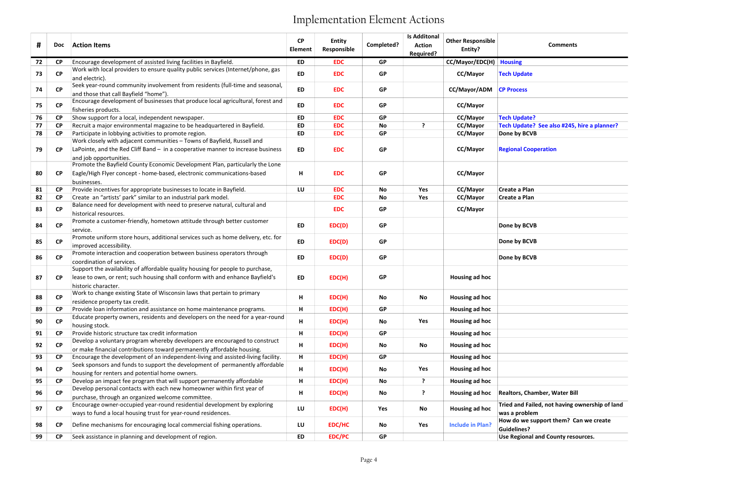| <b>Comments</b> |  |
|-----------------|--|
|                 |  |
|                 |  |
|                 |  |
|                 |  |
|                 |  |
|                 |  |
|                 |  |

| #  | Doc       | <b>Action Items</b>                                                                                                                                                                    | <b>CP</b><br><b>Element</b> | <b>Entity</b><br>Responsible | Completed? | <b>Is Additonal</b><br><b>Action</b><br>Required? | <b>Other Responsible</b><br>Entity? | <b>Comments</b>                                                 |
|----|-----------|----------------------------------------------------------------------------------------------------------------------------------------------------------------------------------------|-----------------------------|------------------------------|------------|---------------------------------------------------|-------------------------------------|-----------------------------------------------------------------|
| 72 | <b>CP</b> | Encourage development of assisted living facilities in Bayfield.                                                                                                                       | <b>ED</b>                   | <b>EDC</b>                   | <b>GP</b>  |                                                   | CC/Mayor/EDC(H) Housing             |                                                                 |
| 73 | <b>CP</b> | Work with local providers to ensure quality public services (Internet/phone, gas<br>and electric).                                                                                     | <b>ED</b>                   | <b>EDC</b>                   | <b>GP</b>  |                                                   | CC/Mayor                            | <b>Tech Update</b>                                              |
| 74 | <b>CP</b> | Seek year-round community involvement from residents (full-time and seasonal,<br>and those that call Bayfield "home").                                                                 | <b>ED</b>                   | <b>EDC</b>                   | <b>GP</b>  |                                                   | CC/Mayor/ADM                        | <b>CP Process</b>                                               |
| 75 | <b>CP</b> | Encourage development of businesses that produce local agricultural, forest and<br>fisheries products.                                                                                 | <b>ED</b>                   | <b>EDC</b>                   | <b>GP</b>  |                                                   | CC/Mayor                            |                                                                 |
| 76 | <b>CP</b> | Show support for a local, independent newspaper.                                                                                                                                       | <b>ED</b>                   | <b>EDC</b>                   | <b>GP</b>  |                                                   | CC/Mayor                            | <b>Tech Update?</b>                                             |
| 77 | <b>CP</b> | Recruit a major environmental magazine to be headquartered in Bayfield.                                                                                                                | <b>ED</b>                   | <b>EDC</b>                   | No         | ?                                                 | CC/Mayor                            | Tech Update? See also #245, hire a planner?                     |
| 78 | <b>CP</b> | Participate in lobbying activities to promote region.                                                                                                                                  | <b>ED</b>                   | <b>EDC</b>                   | <b>GP</b>  |                                                   | CC/Mayor                            | Done by BCVB                                                    |
| 79 | <b>CP</b> | Work closely with adjacent communities - Towns of Bayfield, Russell and<br>LaPointe, and the Red Cliff Band - in a cooperative manner to increase business<br>and job opportunities.   | <b>ED</b>                   | <b>EDC</b>                   | <b>GP</b>  |                                                   | CC/Mayor                            | <b>Regional Cooperation</b>                                     |
| 80 | <b>CP</b> | Promote the Bayfield County Economic Development Plan, particularly the Lone<br>Eagle/High Flyer concept - home-based, electronic communications-based<br>businesses.                  | н                           | <b>EDC</b>                   | <b>GP</b>  |                                                   | CC/Mayor                            |                                                                 |
| 81 | <b>CP</b> | Provide incentives for appropriate businesses to locate in Bayfield.                                                                                                                   | LU                          | <b>EDC</b>                   | No         | Yes                                               | CC/Mayor                            | Create a Plan                                                   |
| 82 | <b>CP</b> | Create an "artists' park" similar to an industrial park model.                                                                                                                         |                             | <b>EDC</b>                   | No         | Yes                                               | CC/Mayor                            | Create a Plan                                                   |
| 83 | <b>CP</b> | Balance need for development with need to preserve natural, cultural and<br>historical resources.                                                                                      |                             | <b>EDC</b>                   | <b>GP</b>  |                                                   | CC/Mayor                            |                                                                 |
| 84 | CP        | Promote a customer-friendly, hometown attitude through better customer<br>service.                                                                                                     | <b>ED</b>                   | EDC(D)                       | <b>GP</b>  |                                                   |                                     | Done by BCVB                                                    |
| 85 | <b>CP</b> | Promote uniform store hours, additional services such as home delivery, etc. for<br>improved accessibility.                                                                            | <b>ED</b>                   | EDC(D)                       | <b>GP</b>  |                                                   |                                     | Done by BCVB                                                    |
| 86 | <b>CP</b> | Promote interaction and cooperation between business operators through<br>coordination of services.                                                                                    | ED                          | EDC(D)                       | <b>GP</b>  |                                                   |                                     | Done by BCVB                                                    |
| 87 | <b>CP</b> | Support the availability of affordable quality housing for people to purchase,<br>lease to own, or rent; such housing shall conform with and enhance Bayfield's<br>historic character. | <b>ED</b>                   | EDC(H)                       | <b>GP</b>  |                                                   | Housing ad hoc                      |                                                                 |
| 88 | <b>CP</b> | Work to change existing State of Wisconsin laws that pertain to primary<br>residence property tax credit.                                                                              | н                           | EDC(H)                       | No         | No                                                | Housing ad hoc                      |                                                                 |
| 89 | <b>CP</b> | Provide loan information and assistance on home maintenance programs.                                                                                                                  | н                           | EDC(H)                       | <b>GP</b>  |                                                   | Housing ad hoc                      |                                                                 |
| 90 | <b>CP</b> | Educate property owners, residents and developers on the need for a year-round<br>housing stock.                                                                                       | н                           | EDC(H)                       | No         | Yes                                               | Housing ad hoc                      |                                                                 |
| 91 | <b>CP</b> | Provide historic structure tax credit information                                                                                                                                      | н                           | EDC(H)                       | <b>GP</b>  |                                                   | Housing ad hoc                      |                                                                 |
| 92 | <b>CP</b> | Develop a voluntary program whereby developers are encouraged to construct<br>or make financial contributions toward permanently affordable housing.                                   | н                           | EDC(H)                       | No         | No                                                | Housing ad hoc                      |                                                                 |
| 93 | <b>CP</b> | Encourage the development of an independent-living and assisted-living facility.                                                                                                       | H                           | EDC(H)                       | <b>GP</b>  |                                                   | Housing ad hoc                      |                                                                 |
| 94 | CP        | Seek sponsors and funds to support the development of permanently affordable<br>housing for renters and potential home owners.                                                         | н                           | EDC(H)                       | No         | Yes                                               | Housing ad hoc                      |                                                                 |
| 95 | <b>CP</b> | Develop an impact fee program that will support permanently affordable                                                                                                                 | H                           | EDC(H)                       | No         | ?                                                 | Housing ad hoc                      |                                                                 |
| 96 | <b>CP</b> | Develop personal contacts with each new homeowner within first year of<br>purchase, through an organized welcome committee.                                                            | н                           | EDC(H)                       | No         | ?                                                 | Housing ad hoc                      | <b>Realtors, Chamber, Water Bill</b>                            |
| 97 | <b>CP</b> | Encourage owner-occupied year-round residential development by exploring<br>ways to fund a local housing trust for year-round residences.                                              | LU                          | EDC(H)                       | Yes        | No                                                | Housing ad hoc                      | Tried and Failed, not having ownership of land<br>was a problem |
| 98 | <b>CP</b> | Define mechanisms for encouraging local commercial fishing operations.                                                                                                                 | LU                          | EDC/HC                       | No         | Yes                                               | <b>Include in Plan?</b>             | How do we support them? Can we create<br><b>Guidelines?</b>     |
| 99 | <b>CP</b> | Seek assistance in planning and development of region.                                                                                                                                 | ED                          | <b>EDC/PC</b>                | <b>GP</b>  |                                                   |                                     | Use Regional and County resources.                              |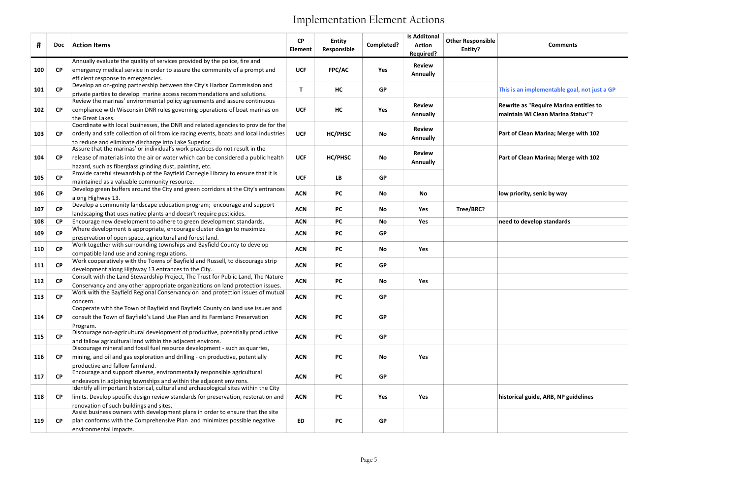| This is an implementable goal, not just a GP                                |
|-----------------------------------------------------------------------------|
| Rewrite as "Require Marina entities to<br>maintain WI Clean Marina Status"? |
| Part of Clean Marina; Merge with 102                                        |
| Part of Clean Marina; Merge with 102                                        |
| low priority, senic by way                                                  |
| need to develop standards                                                   |
|                                                                             |
|                                                                             |
|                                                                             |
|                                                                             |
|                                                                             |
|                                                                             |
| historical guide, ARB, NP guidelines                                        |

| #   | <b>Doc</b>             | <b>Action Items</b>                                                                                                                                        | <b>CP</b><br><b>Element</b> | <b>Entity</b><br>Responsible | Completed? | <b>Is Additonal</b><br><b>Action</b><br>Required? | <b>Other Responsible</b><br>Entity? | <b>Comments</b>                                                             |
|-----|------------------------|------------------------------------------------------------------------------------------------------------------------------------------------------------|-----------------------------|------------------------------|------------|---------------------------------------------------|-------------------------------------|-----------------------------------------------------------------------------|
|     |                        | Annually evaluate the quality of services provided by the police, fire and                                                                                 |                             |                              |            | <b>Review</b>                                     |                                     |                                                                             |
| 100 | CP                     | emergency medical service in order to assure the community of a prompt and                                                                                 | <b>UCF</b>                  | FPC/AC                       | Yes        | Annually                                          |                                     |                                                                             |
| 101 | CP                     | efficient response to emergencies.<br>Develop an on-going partnership between the City's Harbor Commission and                                             | T                           | HC                           | <b>GP</b>  |                                                   |                                     | This is an implementable goal, not just a GP                                |
|     |                        | private parties to develop marine access recommendations and solutions.                                                                                    |                             |                              |            |                                                   |                                     |                                                                             |
| 102 | CP                     | Review the marinas' environmental policy agreements and assure continuous<br>compliance with Wisconsin DNR rules governing operations of boat marinas on   | <b>UCF</b>                  | HC                           | Yes        | <b>Review</b><br>Annually                         |                                     | Rewrite as "Require Marina entities to<br>maintain WI Clean Marina Status"? |
|     |                        | the Great Lakes.                                                                                                                                           |                             |                              |            |                                                   |                                     |                                                                             |
|     |                        | Coordinate with local businesses, the DNR and related agencies to provide for the                                                                          |                             |                              |            | <b>Review</b>                                     |                                     |                                                                             |
| 103 | <b>CP</b>              | orderly and safe collection of oil from ice racing events, boats and local industries                                                                      | <b>UCF</b>                  | HC/PHSC                      | No         | Annually                                          |                                     | Part of Clean Marina; Merge with 102                                        |
|     |                        | to reduce and eliminate discharge into Lake Superior.<br>Assure that the marinas' or individual's work practices do not result in the                      |                             |                              |            |                                                   |                                     |                                                                             |
| 104 | CP                     | release of materials into the air or water which can be considered a public health                                                                         | <b>UCF</b>                  | HC/PHSC                      | <b>No</b>  | <b>Review</b>                                     |                                     | Part of Clean Marina; Merge with 102                                        |
|     |                        | hazard, such as fiberglass grinding dust, painting, etc.                                                                                                   |                             |                              |            | <b>Annually</b>                                   |                                     |                                                                             |
|     |                        | Provide careful stewardship of the Bayfield Carnegie Library to ensure that it is                                                                          |                             |                              |            |                                                   |                                     |                                                                             |
| 105 | CP                     | maintained as a valuable community resource.                                                                                                               | <b>UCF</b>                  | <b>LB</b>                    | <b>GP</b>  |                                                   |                                     |                                                                             |
|     |                        | Develop green buffers around the City and green corridors at the City's entrances                                                                          |                             |                              |            |                                                   |                                     |                                                                             |
| 106 | <b>CP</b>              | along Highway 13.                                                                                                                                          | <b>ACN</b>                  | <b>PC</b>                    | <b>No</b>  | No                                                |                                     | low priority, senic by way                                                  |
| 107 | <b>CP</b>              | Develop a community landscape education program; encourage and support                                                                                     | <b>ACN</b>                  | <b>PC</b>                    | <b>No</b>  | Yes                                               | Tree/BRC?                           |                                                                             |
|     |                        | landscaping that uses native plants and doesn't require pesticides.                                                                                        |                             |                              |            |                                                   |                                     |                                                                             |
| 108 | <b>CP</b>              | Encourage new development to adhere to green development standards.                                                                                        | <b>ACN</b>                  | <b>PC</b>                    | <b>No</b>  | Yes                                               |                                     | need to develop standards                                                   |
| 109 | <b>CP</b>              | Where development is appropriate, encourage cluster design to maximize                                                                                     | <b>ACN</b>                  | <b>PC</b>                    | <b>GP</b>  |                                                   |                                     |                                                                             |
|     |                        | preservation of open space, agricultural and forest land.                                                                                                  |                             |                              |            |                                                   |                                     |                                                                             |
| 110 | $\mathsf{C}\mathsf{P}$ | Work together with surrounding townships and Bayfield County to develop                                                                                    | <b>ACN</b>                  | <b>PC</b>                    | <b>No</b>  | Yes                                               |                                     |                                                                             |
|     |                        | compatible land use and zoning regulations.<br>Work cooperatively with the Towns of Bayfield and Russell, to discourage strip                              |                             |                              |            |                                                   |                                     |                                                                             |
| 111 | <b>CP</b>              | development along Highway 13 entrances to the City.                                                                                                        | <b>ACN</b>                  | <b>PC</b>                    | <b>GP</b>  |                                                   |                                     |                                                                             |
|     |                        | Consult with the Land Stewardship Project, The Trust for Public Land, The Nature                                                                           |                             |                              |            |                                                   |                                     |                                                                             |
| 112 | CP                     | Conservancy and any other appropriate organizations on land protection issues.                                                                             | <b>ACN</b>                  | <b>PC</b>                    | <b>No</b>  | Yes                                               |                                     |                                                                             |
|     |                        | Work with the Bayfield Regional Conservancy on land protection issues of mutual                                                                            |                             |                              |            |                                                   |                                     |                                                                             |
| 113 | <b>CP</b>              | concern.                                                                                                                                                   | <b>ACN</b>                  | <b>PC</b>                    | <b>GP</b>  |                                                   |                                     |                                                                             |
|     |                        | Cooperate with the Town of Bayfield and Bayfield County on land use issues and                                                                             |                             |                              |            |                                                   |                                     |                                                                             |
| 114 | <b>CP</b>              | consult the Town of Bayfield's Land Use Plan and its Farmland Preservation                                                                                 | <b>ACN</b>                  | <b>PC</b>                    | <b>GP</b>  |                                                   |                                     |                                                                             |
|     |                        | Program.                                                                                                                                                   |                             |                              |            |                                                   |                                     |                                                                             |
| 115 | CP                     | Discourage non-agricultural development of productive, potentially productive                                                                              | <b>ACN</b>                  | <b>PC</b>                    | <b>GP</b>  |                                                   |                                     |                                                                             |
|     |                        | and fallow agricultural land within the adjacent environs.                                                                                                 |                             |                              |            |                                                   |                                     |                                                                             |
|     |                        | Discourage mineral and fossil fuel resource development - such as quarries,                                                                                |                             |                              |            |                                                   |                                     |                                                                             |
| 116 | <b>CP</b>              | mining, and oil and gas exploration and drilling - on productive, potentially                                                                              | <b>ACN</b>                  | <b>PC</b>                    | <b>No</b>  | Yes                                               |                                     |                                                                             |
|     |                        | productive and fallow farmland.                                                                                                                            |                             |                              |            |                                                   |                                     |                                                                             |
| 117 | CP                     | Encourage and support diverse, environmentally responsible agricultural                                                                                    | <b>ACN</b>                  | <b>PC</b>                    | <b>GP</b>  |                                                   |                                     |                                                                             |
|     |                        | endeavors in adjoining townships and within the adjacent environs.<br>Identify all important historical, cultural and archaeological sites within the City |                             |                              |            |                                                   |                                     |                                                                             |
| 118 | <b>CP</b>              | limits. Develop specific design review standards for preservation, restoration and                                                                         | <b>ACN</b>                  | <b>PC</b>                    | Yes        | Yes                                               |                                     | historical guide, ARB, NP guidelines                                        |
|     |                        | renovation of such buildings and sites.                                                                                                                    |                             |                              |            |                                                   |                                     |                                                                             |
|     |                        | Assist business owners with development plans in order to ensure that the site                                                                             |                             |                              |            |                                                   |                                     |                                                                             |
| 119 | <b>CP</b>              | plan conforms with the Comprehensive Plan and minimizes possible negative                                                                                  | <b>ED</b>                   | <b>PC</b>                    | <b>GP</b>  |                                                   |                                     |                                                                             |
|     |                        | environmental impacts.                                                                                                                                     |                             |                              |            |                                                   |                                     |                                                                             |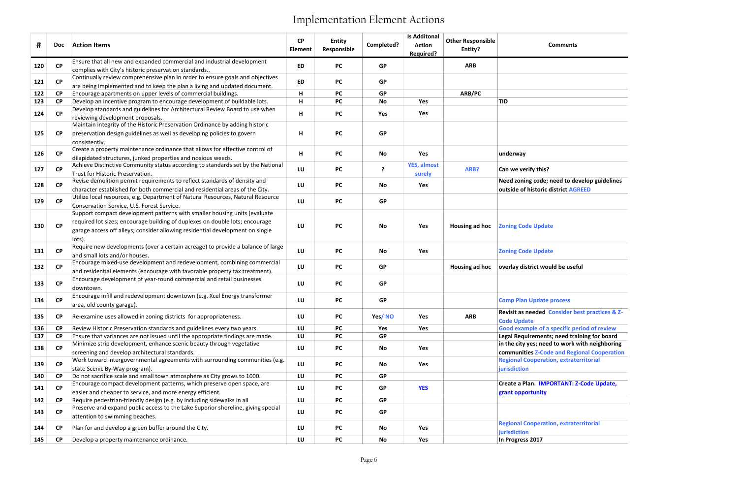## Comments

le; need to develop guidelines ric district AGREED

d Consider best practices & Z-

f a specific period of review ents; need training for board eed to work with neighboring communities Z-Code and Regional Cooperation Regional Cooperation, extraterritorial

**MPORTANT: Z-Code Update,** 

ration, extraterritorial

| #   | Doc                    | <b>Action Items</b>                                                                                                                        | CP<br><b>Element</b> | <b>Entity</b><br>Responsible | Completed? | <b>Is Additonal</b><br><b>Action</b><br>Required? | <b>Other Responsible</b><br>Entity? | <b>Comments</b>                        |
|-----|------------------------|--------------------------------------------------------------------------------------------------------------------------------------------|----------------------|------------------------------|------------|---------------------------------------------------|-------------------------------------|----------------------------------------|
| 120 | CP                     | Ensure that all new and expanded commercial and industrial development                                                                     | <b>ED</b>            | <b>PC</b>                    | <b>GP</b>  |                                                   | <b>ARB</b>                          |                                        |
|     |                        | complies with City's historic preservation standards                                                                                       |                      |                              |            |                                                   |                                     |                                        |
| 121 | CP                     | Continually review comprehensive plan in order to ensure goals and objectives                                                              | <b>ED</b>            | <b>PC</b>                    | <b>GP</b>  |                                                   |                                     |                                        |
| 122 | <b>CP</b>              | are being implemented and to keep the plan a living and updated document.<br>Encourage apartments on upper levels of commercial buildings. | н                    | PC                           | <b>GP</b>  |                                                   | ARB/PC                              |                                        |
| 123 | <b>CP</b>              | Develop an incentive program to encourage development of buildable lots.                                                                   | н                    | <b>PC</b>                    | No         | Yes                                               |                                     | <b>TID</b>                             |
|     |                        | Develop standards and guidelines for Architectural Review Board to use when                                                                |                      |                              |            |                                                   |                                     |                                        |
| 124 | <b>CP</b>              | reviewing development proposals.                                                                                                           | н                    | <b>PC</b>                    | Yes        | Yes                                               |                                     |                                        |
|     |                        | Maintain integrity of the Historic Preservation Ordinance by adding historic                                                               |                      |                              |            |                                                   |                                     |                                        |
| 125 | $\mathsf{C}\mathsf{P}$ | preservation design guidelines as well as developing policies to govern                                                                    | H                    | <b>PC</b>                    | <b>GP</b>  |                                                   |                                     |                                        |
|     |                        | consistently.                                                                                                                              |                      |                              |            |                                                   |                                     |                                        |
| 126 | CP                     | Create a property maintenance ordinance that allows for effective control of                                                               | н                    | <b>PC</b>                    | No         | Yes                                               |                                     | underway                               |
|     |                        | dilapidated structures, junked properties and noxious weeds.                                                                               |                      |                              |            |                                                   |                                     |                                        |
| 127 | $\mathsf{C}\mathsf{P}$ | Achieve Distinctive Community status according to standards set by the National                                                            | LU                   | <b>PC</b>                    | ?          | YES, almost                                       | ARB?                                | Can we verify this?                    |
|     |                        | Trust for Historic Preservation.<br>Revise demolition permit requirements to reflect standards of density and                              |                      |                              |            | surely                                            |                                     | Need zoning code; need to deve         |
| 128 | <b>CP</b>              | character established for both commercial and residential areas of the City.                                                               | LU                   | PC                           | No         | Yes                                               |                                     | outside of historic district AGRE      |
|     |                        | Utilize local resources, e.g. Department of Natural Resources, Natural Resource                                                            |                      |                              |            |                                                   |                                     |                                        |
| 129 | <b>CP</b>              | Conservation Service, U.S. Forest Service.                                                                                                 | LU                   | <b>PC</b>                    | <b>GP</b>  |                                                   |                                     |                                        |
| 130 |                        | Support compact development patterns with smaller housing units (evaluate                                                                  |                      |                              |            |                                                   |                                     |                                        |
|     |                        | required lot sizes; encourage building of duplexes on double lots; encourage                                                               |                      |                              |            |                                                   |                                     |                                        |
|     | <b>CP</b>              | garage access off alleys; consider allowing residential development on single                                                              | LU                   | PC                           | No         | Yes                                               | Housing ad hoc                      | <b>Zoning Code Update</b>              |
|     |                        | lots).                                                                                                                                     |                      |                              |            |                                                   |                                     |                                        |
| 131 | <b>CP</b>              | Require new developments (over a certain acreage) to provide a balance of large                                                            | LU                   | PC                           | No         | Yes                                               |                                     | <b>Zoning Code Update</b>              |
|     |                        | and small lots and/or houses.                                                                                                              |                      |                              |            |                                                   |                                     |                                        |
| 132 | <b>CP</b>              | Encourage mixed-use development and redevelopment, combining commercial                                                                    | LU                   | PC                           | <b>GP</b>  |                                                   | Housing ad hoc                      | overlay district would be useful       |
|     |                        | and residential elements (encourage with favorable property tax treatment).                                                                |                      |                              |            |                                                   |                                     |                                        |
| 133 | CP                     | Encourage development of year-round commercial and retail businesses                                                                       | LU                   | <b>PC</b>                    | <b>GP</b>  |                                                   |                                     |                                        |
|     |                        | downtown.                                                                                                                                  |                      |                              |            |                                                   |                                     |                                        |
| 134 | <b>CP</b>              | Encourage infill and redevelopment downtown (e.g. Xcel Energy transformer                                                                  | LU                   | PC                           | <b>GP</b>  |                                                   |                                     | <b>Comp Plan Update process</b>        |
|     |                        | area, old county garage).                                                                                                                  |                      |                              |            |                                                   |                                     | <b>Revisit as needed Consider bes</b>  |
| 135 | <b>CP</b>              | Re-examine uses allowed in zoning districts for appropriateness.                                                                           | LU                   | PC                           | Yes/NO     | Yes                                               | <b>ARB</b>                          | <b>Code Update</b>                     |
| 136 | <b>CP</b>              | Review Historic Preservation standards and guidelines every two years.                                                                     | LU                   | PC                           | Yes        | Yes                                               |                                     | <b>Good example of a specific peri</b> |
| 137 | <b>CP</b>              | Ensure that variances are not issued until the appropriate findings are made.                                                              | LU                   | <b>PC</b>                    | <b>GP</b>  |                                                   |                                     | Legal Requirements; need train         |
|     |                        | Minimize strip development, enhance scenic beauty through vegetative                                                                       |                      |                              |            |                                                   |                                     | in the city yes; need to work wi       |
| 138 | <b>CP</b>              | screening and develop architectural standards.                                                                                             | LU                   | PC                           | No         | Yes                                               |                                     | communities Z-Code and Regior          |
| 139 | <b>CP</b>              | Work toward intergovernmental agreements with surrounding communities (e.g.                                                                | LU                   | PC                           | No         | Yes                                               |                                     | <b>Regional Cooperation, extrateri</b> |
|     |                        | state Scenic By-Way program).                                                                                                              |                      |                              |            |                                                   |                                     | jurisdiction                           |
| 140 | <b>CP</b>              | Do not sacrifice scale and small town atmosphere as City grows to 1000.                                                                    | LU                   | <b>PC</b>                    | <b>GP</b>  |                                                   |                                     |                                        |
| 141 | CP                     | Encourage compact development patterns, which preserve open space, are                                                                     | LU                   | PC                           | GP         | <b>YES</b>                                        |                                     | Create a Plan. IMPORTANT: Z-C          |
| 142 | <b>CP</b>              | easier and cheaper to service, and more energy efficient.<br>Require pedestrian-friendly design (e.g. by including sidewalks in all        | LU                   | <b>PC</b>                    | <b>GP</b>  |                                                   |                                     | grant opportunity                      |
|     |                        | Preserve and expand public access to the Lake Superior shoreline, giving special                                                           |                      |                              |            |                                                   |                                     |                                        |
| 143 | CP                     | attention to swimming beaches.                                                                                                             | LU                   | <b>PC</b>                    | <b>GP</b>  |                                                   |                                     |                                        |
|     |                        |                                                                                                                                            |                      |                              |            |                                                   |                                     | <b>Regional Cooperation, extrateri</b> |
| 144 | <b>CP</b>              | Plan for and develop a green buffer around the City.                                                                                       | LU                   | <b>PC</b>                    | No         | Yes                                               |                                     | jurisdiction                           |
| 145 | <b>CP</b>              | Develop a property maintenance ordinance.                                                                                                  | LU                   | <b>PC</b>                    | No         | Yes                                               |                                     | In Progress 2017                       |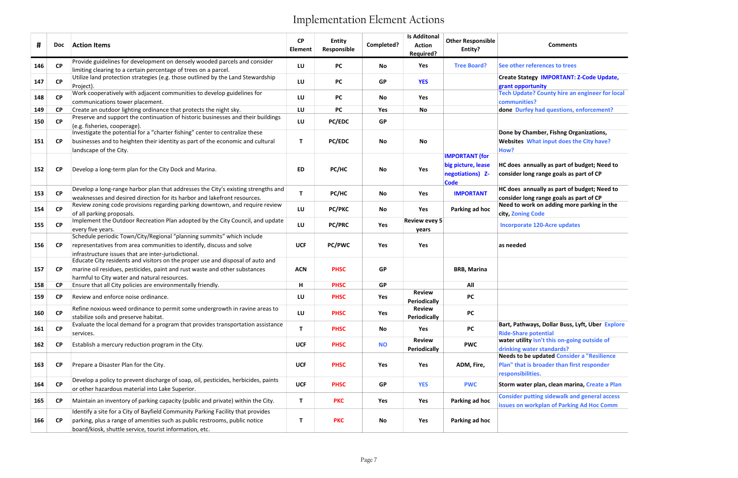### Comments

Dollar Buss, Lyft, Uber Explore

| #   | <b>Doc</b>             | <b>Action Items</b>                                                                                                                                                                                                      | CP<br>Element | <b>Entity</b><br>Responsible | Completed? | <b>Is Additonal</b><br><b>Action</b><br><b>Required?</b> | <b>Other Responsible</b><br>Entity?                                            | <b>Comments</b>                                                                                                      |
|-----|------------------------|--------------------------------------------------------------------------------------------------------------------------------------------------------------------------------------------------------------------------|---------------|------------------------------|------------|----------------------------------------------------------|--------------------------------------------------------------------------------|----------------------------------------------------------------------------------------------------------------------|
| 146 | <b>CP</b>              | Provide guidelines for development on densely wooded parcels and consider<br>limiting clearing to a certain percentage of trees on a parcel.                                                                             | LU            | <b>PC</b>                    | No         | Yes                                                      | <b>Tree Board?</b>                                                             | See other references to trees                                                                                        |
| 147 | CP                     | Utilize land protection strategies (e.g. those outlined by the Land Stewardship<br>Project).                                                                                                                             | LU            | <b>PC</b>                    | <b>GP</b>  | <b>YES</b>                                               |                                                                                | <b>Create Stategy IMPORTANT: Z-Code Update,</b><br>grant opportunity                                                 |
| 148 | CP                     | Work cooperatively with adjacent communities to develop guidelines for<br>communications tower placement.                                                                                                                | LU            | <b>PC</b>                    | <b>No</b>  | Yes                                                      |                                                                                | <b>Tech Update? County hire an engineer for loca</b><br>communities?                                                 |
| 149 | <b>CP</b>              | Create an outdoor lighting ordinance that protects the night sky.                                                                                                                                                        | LU            | <b>PC</b>                    | Yes        | <b>No</b>                                                |                                                                                | done Durfey had questions, enforcement?                                                                              |
| 150 | <b>CP</b>              | Preserve and support the continuation of historic businesses and their buildings<br>(e.g. fisheries, cooperage).                                                                                                         | LU            | <b>PC/EDC</b>                | <b>GP</b>  |                                                          |                                                                                |                                                                                                                      |
| 151 | <b>CP</b>              | Investigate the potential for a "charter fishing" center to centralize these<br>businesses and to heighten their identity as part of the economic and cultural<br>landscape of the City.                                 | Т             | <b>PC/EDC</b>                | No         | No                                                       |                                                                                | Done by Chamber, Fishng Organizations,<br>Websites What input does the City have?<br>How?                            |
| 152 | <b>CP</b>              | Develop a long-term plan for the City Dock and Marina.                                                                                                                                                                   | <b>ED</b>     | PC/HC                        | No         | Yes                                                      | <b>IMPORTANT</b> (for<br>big picture, lease<br>negotiations) Z-<br><b>Code</b> | HC does annually as part of budget; Need to<br>consider long range goals as part of CP                               |
| 153 | CP                     | Develop a long-range harbor plan that addresses the City's existing strengths and<br>weaknesses and desired direction for its harbor and lakefront resources.                                                            | $\mathsf T$   | PC/HC                        | No         | Yes                                                      | <b>IMPORTANT</b>                                                               | HC does annually as part of budget; Need to<br>consider long range goals as part of CP                               |
| 154 | <b>CP</b>              | Review zoning code provisions regarding parking downtown, and require review<br>of all parking proposals.                                                                                                                | LU            | <b>PC/PKC</b>                | No         | Yes                                                      | Parking ad hoc                                                                 | Need to work on adding more parking in the<br>city, Zoning Code                                                      |
| 155 | CP                     | Implement the Outdoor Recreation Plan adopted by the City Council, and update<br>every five years.<br>Schedule periodic Town/City/Regional "planning summits" which include                                              | LU            | <b>PC/PRC</b>                | Yes        | <b>Review evey 5</b><br>years                            |                                                                                | <b>Incorporate 120-Acre updates</b>                                                                                  |
| 156 | <b>CP</b>              | representatives from area communities to identify, discuss and solve<br>infrastructure issues that are inter-jurisdictional.                                                                                             | <b>UCF</b>    | <b>PC/PWC</b>                | Yes        | Yes                                                      |                                                                                | as needed                                                                                                            |
| 157 | <b>CP</b>              | Educate City residents and visitors on the proper use and disposal of auto and<br>marine oil residues, pesticides, paint and rust waste and other substances<br>harmful to City water and natural resources.             | <b>ACN</b>    | <b>PHSC</b>                  | <b>GP</b>  |                                                          | <b>BRB, Marina</b>                                                             |                                                                                                                      |
| 158 | $\mathsf{C}\mathsf{P}$ | Ensure that all City policies are environmentally friendly.                                                                                                                                                              | н             | <b>PHSC</b>                  | <b>GP</b>  |                                                          | All                                                                            |                                                                                                                      |
| 159 | <b>CP</b>              | Review and enforce noise ordinance.                                                                                                                                                                                      | LU            | <b>PHSC</b>                  | <b>Yes</b> | <b>Review</b><br><b>Periodically</b>                     | <b>PC</b>                                                                      |                                                                                                                      |
| 160 | CP                     | Refine noxious weed ordinance to permit some undergrowth in ravine areas to<br>stabilize soils and preserve habitat.                                                                                                     | LU            | <b>PHSC</b>                  | Yes        | <b>Review</b><br><b>Periodically</b>                     | <b>PC</b>                                                                      |                                                                                                                      |
| 161 | CP                     | Evaluate the local demand for a program that provides transportation assistance<br>services.                                                                                                                             | Т             | <b>PHSC</b>                  | No         | Yes                                                      | <b>PC</b>                                                                      | Bart, Pathways, Dollar Buss, Lyft, Uber Explor<br><b>Ride-Share potential</b>                                        |
| 162 | <b>CP</b>              | Establish a mercury reduction program in the City.                                                                                                                                                                       | <b>UCF</b>    | <b>PHSC</b>                  | <b>NO</b>  | <b>Review</b><br><b>Periodically</b>                     | <b>PWC</b>                                                                     | water utility Isn't this on-going outside of<br>drinking water standards?                                            |
| 163 | <b>CP</b>              | Prepare a Disaster Plan for the City.                                                                                                                                                                                    | <b>UCF</b>    | <b>PHSC</b>                  | Yes        | Yes                                                      | ADM, Fire,                                                                     | <b>Needs to be updated Consider a "Resilience</b><br>Plan" that is broader than first responder<br>responsibilities. |
| 164 | CP                     | Develop a policy to prevent discharge of soap, oil, pesticides, herbicides, paints<br>or other hazardous material into Lake Superior.                                                                                    | <b>UCF</b>    | <b>PHSC</b>                  | <b>GP</b>  | <b>YES</b>                                               | <b>PWC</b>                                                                     | Storm water plan, clean marina, Create a Plan                                                                        |
| 165 | <b>CP</b>              | Maintain an inventory of parking capacity (public and private) within the City.                                                                                                                                          | $\mathsf T$   | <b>PKC</b>                   | Yes        | Yes                                                      | Parking ad hoc                                                                 | <b>Consider putting sidewalk and general access</b><br>issues on workplan of Parking Ad Hoc Comm                     |
| 166 | $\mathsf{C}\mathsf{P}$ | Identify a site for a City of Bayfield Community Parking Facility that provides<br>parking, plus a range of amenities such as public restrooms, public notice<br>board/kiosk, shuttle service, tourist information, etc. | $\mathsf T$   | <b>PKC</b>                   | No         | Yes                                                      | Parking ad hoc                                                                 |                                                                                                                      |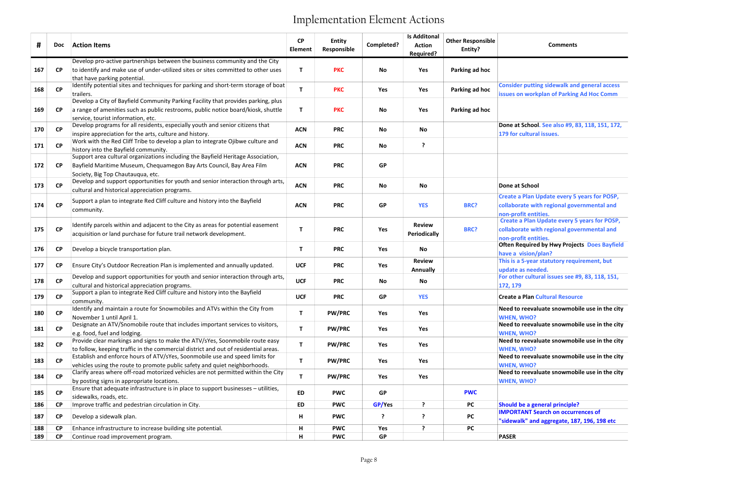### Comments

## **Itural Resource**

| #   | <b>Doc</b>             | <b>Action Items</b>                                                                                                                                                                                                  | <b>CP</b><br>Element | <b>Entity</b><br>Responsible | Completed?    | <b>Is Additonal</b><br><b>Action</b><br>Required? | <b>Other Responsible</b><br>Entity? | <b>Comments</b>                                                                                                    |
|-----|------------------------|----------------------------------------------------------------------------------------------------------------------------------------------------------------------------------------------------------------------|----------------------|------------------------------|---------------|---------------------------------------------------|-------------------------------------|--------------------------------------------------------------------------------------------------------------------|
|     |                        | Develop pro-active partnerships between the business community and the City                                                                                                                                          |                      |                              |               |                                                   |                                     |                                                                                                                    |
| 167 | <b>CP</b>              | to identify and make use of under-utilized sites or sites committed to other uses                                                                                                                                    | Т                    | <b>PKC</b>                   | No            | Yes                                               | Parking ad hoc                      |                                                                                                                    |
| 168 | CP                     | that have parking potential.<br>Identify potential sites and techniques for parking and short-term storage of boat<br>trailers.<br>Develop a City of Bayfield Community Parking Facility that provides parking, plus | $\mathbf{T}$         | <b>PKC</b>                   | Yes           | Yes                                               | Parking ad hoc                      | <b>Consider putting sidewalk and general access</b><br>issues on workplan of Parking Ad Hoc Comm                   |
| 169 | <b>CP</b>              | a range of amenities such as public restrooms, public notice board/kiosk, shuttle<br>service, tourist information, etc.                                                                                              | Т                    | <b>PKC</b>                   | No            | Yes                                               | Parking ad hoc                      |                                                                                                                    |
| 170 | <b>CP</b>              | Develop programs for all residents, especially youth and senior citizens that<br>inspire appreciation for the arts, culture and history.                                                                             | <b>ACN</b>           | <b>PRC</b>                   | No            | No                                                |                                     | Done at School. See also #9, 83, 118, 151, 172,<br>179 for cultural issues.                                        |
| 171 | CP                     | Work with the Red Cliff Tribe to develop a plan to integrate Ojibwe culture and<br>history into the Bayfield community.                                                                                              | <b>ACN</b>           | <b>PRC</b>                   | No            | ?                                                 |                                     |                                                                                                                    |
| 172 | <b>CP</b>              | Support area cultural organizations including the Bayfield Heritage Association,<br>Bayfield Maritime Museum, Chequamegon Bay Arts Council, Bay Area Film<br>Society, Big Top Chautauqua, etc.                       | <b>ACN</b>           | <b>PRC</b>                   | <b>GP</b>     |                                                   |                                     |                                                                                                                    |
| 173 | <b>CP</b>              | Develop and support opportunities for youth and senior interaction through arts,<br>cultural and historical appreciation programs.                                                                                   | <b>ACN</b>           | <b>PRC</b>                   | No            | <b>No</b>                                         |                                     | Done at School                                                                                                     |
| 174 | CP                     | Support a plan to integrate Red Cliff culture and history into the Bayfield<br>community.                                                                                                                            | <b>ACN</b>           | <b>PRC</b>                   | <b>GP</b>     | <b>YES</b>                                        | <b>BRC?</b>                         | Create a Plan Update every 5 years for POSP,<br>collaborate with regional governmental and<br>non-profit entities. |
| 175 | CP                     | Identify parcels within and adjacent to the City as areas for potential easement<br>acquisition or land purchase for future trail network development.                                                               | $\mathsf{T}$         | <b>PRC</b>                   | Yes           | <b>Review</b><br>Periodically                     | BRC?                                | Create a Plan Update every 5 years for POSP,<br>collaborate with regional governmental and<br>non-profit entities. |
| 176 | <b>CP</b>              | Develop a bicycle transportation plan.                                                                                                                                                                               | T                    | <b>PRC</b>                   | Yes           | <b>No</b>                                         |                                     | <b>Often Required by Hwy Projects Does Bayfield</b><br>have a vision/plan?                                         |
| 177 | <b>CP</b>              | Ensure City's Outdoor Recreation Plan is implemented and annually updated.                                                                                                                                           | <b>UCF</b>           | <b>PRC</b>                   | Yes           | <b>Review</b><br><b>Annually</b>                  |                                     | This is a 5-year statutory requirement, but<br>update as needed.                                                   |
| 178 | <b>CP</b>              | Develop and support opportunities for youth and senior interaction through arts,<br>cultural and historical appreciation programs.                                                                                   | <b>UCF</b>           | <b>PRC</b>                   | No            | No                                                |                                     | For other cultural issues see #9, 83, 118, 151,<br>172, 179                                                        |
| 179 | <b>CP</b>              | Support a plan to integrate Red Cliff culture and history into the Bayfield<br>community.                                                                                                                            | <b>UCF</b>           | <b>PRC</b>                   | <b>GP</b>     | <b>YES</b>                                        |                                     | <b>Create a Plan Cultural Resource</b>                                                                             |
| 180 | <b>CP</b>              | Identify and maintain a route for Snowmobiles and ATVs within the City from<br>November 1 until April 1.                                                                                                             | $\mathsf T$          | <b>PW/PRC</b>                | Yes           | Yes                                               |                                     | Need to reevaluate snowmobile use in the city<br><b>WHEN, WHO?</b>                                                 |
| 181 | CP                     | Designate an ATV/Snomobile route that includes important services to visitors,<br>e.g. food, fuel and lodging.                                                                                                       | $\mathbf T$          | <b>PW/PRC</b>                | Yes           | Yes                                               |                                     | Need to reevaluate snowmobile use in the city<br><b>WHEN, WHO?</b>                                                 |
| 182 | CP                     | Provide clear markings and signs to make the ATV/sYes, Soonmobile route easy<br>to follow, keeping traffic in the commercial district and out of residential areas.                                                  | $\mathsf T$          | <b>PW/PRC</b>                | Yes           | Yes                                               |                                     | Need to reevaluate snowmobile use in the city<br><b>WHEN, WHO?</b>                                                 |
| 183 | $\mathsf{C}\mathsf{P}$ | Establish and enforce hours of ATV/sYes, Soonmobile use and speed limits for<br>vehicles using the route to promote public safety and quiet neighborhoods.                                                           | T                    | <b>PW/PRC</b>                | Yes           | Yes                                               |                                     | Need to reevaluate snowmobile use in the city<br><b>WHEN, WHO?</b>                                                 |
| 184 | <b>CP</b>              | Clarify areas where off-road motorized vehicles are not permitted within the City<br>by posting signs in appropriate locations.                                                                                      | $\mathbf T$          | <b>PW/PRC</b>                | Yes           | Yes                                               |                                     | Need to reevaluate snowmobile use in the city<br><b>WHEN, WHO?</b>                                                 |
| 185 | <b>CP</b>              | Ensure that adequate infrastructure is in place to support businesses - utilities,<br>sidewalks, roads, etc.                                                                                                         | ED                   | <b>PWC</b>                   | <b>GP</b>     |                                                   | <b>PWC</b>                          |                                                                                                                    |
| 186 | <b>CP</b>              | Improve traffic and pedestrian circulation in City.                                                                                                                                                                  | ED                   | <b>PWC</b>                   | <b>GP/Yes</b> | ?                                                 | <b>PC</b>                           | <b>Should be a general principle?</b>                                                                              |
| 187 | <b>CP</b>              | Develop a sidewalk plan.                                                                                                                                                                                             | н                    | <b>PWC</b>                   | ?             | ?                                                 | <b>PC</b>                           | <b>IMPORTANT Search on occurrences of</b><br>"sidewalk" and aggregate, 187, 196, 198 etc                           |
| 188 | <b>CP</b>              | Enhance infrastructure to increase building site potential.                                                                                                                                                          | н                    | <b>PWC</b>                   | Yes           | ?                                                 | <b>PC</b>                           |                                                                                                                    |
| 189 | <b>CP</b>              | Continue road improvement program.                                                                                                                                                                                   | н                    | <b>PWC</b>                   | <b>GP</b>     |                                                   |                                     | <b>PASER</b>                                                                                                       |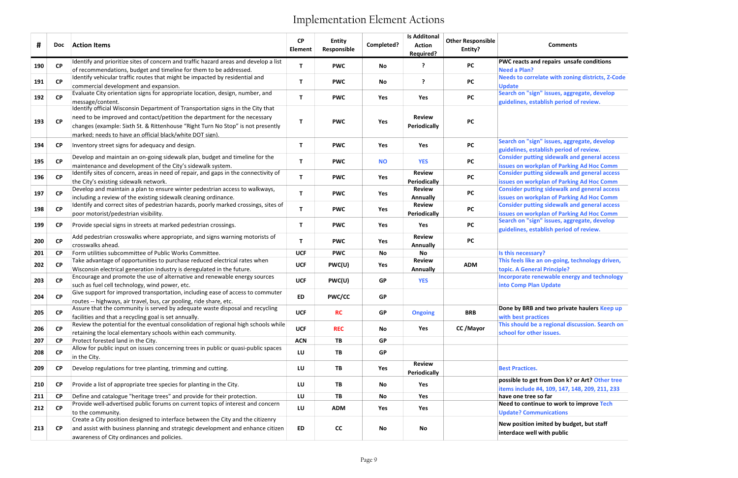### Comments

| #   | <b>Doc</b>             | <b>Action Items</b>                                                                                                                                                                                                                                                                                         | <b>CP</b><br><b>Element</b> | Entity<br>Responsible | Completed? | <b>Is Additonal</b><br><b>Action</b><br>Required? | <b>Other Responsible</b><br>Entity? | <b>Comments</b>                                                                                  |
|-----|------------------------|-------------------------------------------------------------------------------------------------------------------------------------------------------------------------------------------------------------------------------------------------------------------------------------------------------------|-----------------------------|-----------------------|------------|---------------------------------------------------|-------------------------------------|--------------------------------------------------------------------------------------------------|
| 190 | <b>CP</b>              | Identify and prioritize sites of concern and traffic hazard areas and develop a list<br>of recommendations, budget and timeline for them to be addressed.                                                                                                                                                   | T.                          | <b>PWC</b>            | No         | ?                                                 | <b>PC</b>                           | PWC reacts and repairs unsafe conditions<br><b>Need a Plan?</b>                                  |
| 191 | CP                     | Identify vehicular traffic routes that might be impacted by residential and<br>commercial development and expansion.                                                                                                                                                                                        | T.                          | <b>PWC</b>            | No         | ?                                                 | <b>PC</b>                           | Needs to correlate with zoning districts, Z-Code<br><b>Update</b>                                |
| 192 | <b>CP</b>              | Evaluate City orientation signs for appropriate location, design, number, and<br>message/content.                                                                                                                                                                                                           | T.                          | <b>PWC</b>            | Yes        | Yes                                               | <b>PC</b>                           | Search on "sign" issues, aggregate, develop<br>guidelines, establish period of review.           |
| 193 | CP                     | Identify official Wisconsin Department of Transportation signs in the City that<br>need to be improved and contact/petition the department for the necessary<br>changes (example: Sixth St. & Rittenhouse "Right Turn No Stop" is not presently<br>marked; needs to have an official black/white DOT sign). | T.                          | <b>PWC</b>            | Yes        | <b>Review</b><br>Periodically                     | <b>PC</b>                           |                                                                                                  |
| 194 | <b>CP</b>              | Inventory street signs for adequacy and design.                                                                                                                                                                                                                                                             | T.                          | <b>PWC</b>            | Yes        | Yes                                               | <b>PC</b>                           | Search on "sign" issues, aggregate, develop<br>guidelines, establish period of review.           |
| 195 | CP                     | Develop and maintain an on-going sidewalk plan, budget and timeline for the<br>maintenance and development of the City's sidewalk system.                                                                                                                                                                   | T.                          | <b>PWC</b>            | <b>NO</b>  | <b>YES</b>                                        | <b>PC</b>                           | <b>Consider putting sidewalk and general access</b><br>issues on workplan of Parking Ad Hoc Comm |
| 196 | <b>CP</b>              | Identify sites of concern, areas in need of repair, and gaps in the connectivity of<br>the City's existing sidewalk network.                                                                                                                                                                                | T.                          | <b>PWC</b>            | Yes        | <b>Review</b><br>Periodically                     | <b>PC</b>                           | <b>Consider putting sidewalk and general access</b><br>issues on workplan of Parking Ad Hoc Comm |
| 197 | <b>CP</b>              | Develop and maintain a plan to ensure winter pedestrian access to walkways,<br>including a review of the existing sidewalk cleaning ordinance.                                                                                                                                                              | T.                          | <b>PWC</b>            | Yes        | <b>Review</b><br>Annually                         | <b>PC</b>                           | <b>Consider putting sidewalk and general access</b><br>issues on workplan of Parking Ad Hoc Comm |
| 198 | <b>CP</b>              | Identify and correct sites of pedestrian hazards, poorly marked crossings, sites of<br>poor motorist/pedestrian visibility.                                                                                                                                                                                 | T.                          | <b>PWC</b>            | Yes        | <b>Review</b><br>Periodically                     | <b>PC</b>                           | <b>Consider putting sidewalk and general access</b><br>issues on workplan of Parking Ad Hoc Comm |
| 199 | <b>CP</b>              | Provide special signs in streets at marked pedestrian crossings.                                                                                                                                                                                                                                            | T.                          | <b>PWC</b>            | Yes        | Yes                                               | <b>PC</b>                           | Search on "sign" issues, aggregate, develop<br>guidelines, establish period of review.           |
| 200 | <b>CP</b>              | Add pedestrian crosswalks where appropriate, and signs warning motorists of<br>crosswalks ahead.                                                                                                                                                                                                            | T.                          | <b>PWC</b>            | Yes        | <b>Review</b><br><b>Annually</b>                  | <b>PC</b>                           |                                                                                                  |
| 201 | <b>CP</b>              | Form utilities subcommittee of Public Works Committee.                                                                                                                                                                                                                                                      | <b>UCF</b>                  | <b>PWC</b>            | No         | No                                                |                                     | Is this necessary?                                                                               |
| 202 | <b>CP</b>              | Take advantage of opportunities to purchase reduced electrical rates when<br>Wisconsin electrical generation industry is deregulated in the future.                                                                                                                                                         | <b>UCF</b>                  | PWC(U)                | Yes        | <b>Review</b><br>Annually                         | <b>ADM</b>                          | This feels like an on-going, technology driven,<br>topic. A General Principle?                   |
| 203 | <b>CP</b>              | Encourage and promote the use of alternative and renewable energy sources<br>such as fuel cell technology, wind power, etc.                                                                                                                                                                                 | <b>UCF</b>                  | PWC(U)                | <b>GP</b>  | <b>YES</b>                                        |                                     | Incorporate renewable energy and technology<br>into Comp Plan Update                             |
| 204 | <b>CP</b>              | Give support for improved transportation, including ease of access to commuter<br>routes -- highways, air travel, bus, car pooling, ride share, etc.                                                                                                                                                        | <b>ED</b>                   | <b>PWC/CC</b>         | <b>GP</b>  |                                                   |                                     |                                                                                                  |
| 205 | $\mathsf{C}\mathsf{P}$ | Assure that the community is served by adequate waste disposal and recycling<br>facilities and that a recycling goal is set annually.                                                                                                                                                                       | <b>UCF</b>                  | <b>RC</b>             | <b>GP</b>  | <b>Ongoing</b>                                    | <b>BRB</b>                          | Done by BRB and two private haulers Keep up<br>with best practices                               |
| 206 | <b>CP</b>              | Review the potential for the eventual consolidation of regional high schools while<br>retaining the local elementary schools within each community.                                                                                                                                                         | <b>UCF</b>                  | <b>REC</b>            | No         | Yes                                               | CC/Mayor                            | This should be a regional discussion. Search on<br>school for other issues.                      |
| 207 | <b>CP</b>              | Protect forested land in the City.                                                                                                                                                                                                                                                                          | <b>ACN</b>                  | TB                    | <b>GP</b>  |                                                   |                                     |                                                                                                  |
| 208 | <b>CP</b>              | Allow for public input on issues concerning trees in public or quasi-public spaces<br>in the City.                                                                                                                                                                                                          | LU                          | TB                    | <b>GP</b>  |                                                   |                                     |                                                                                                  |
| 209 | <b>CP</b>              | Develop regulations for tree planting, trimming and cutting.                                                                                                                                                                                                                                                | LU                          | TB                    | Yes        | <b>Review</b><br>Periodically                     |                                     | <b>Best Practices.</b>                                                                           |
| 210 | <b>CP</b>              | Provide a list of appropriate tree species for planting in the City.                                                                                                                                                                                                                                        | LU                          | TB                    | No         | Yes                                               |                                     | possible to get from Don k? or Art? Other tree<br>items include #4, 109, 147, 148, 209, 211, 233 |
| 211 | <b>CP</b>              | Define and catalogue "heritage trees" and provide for their protection.                                                                                                                                                                                                                                     | LU                          | TB                    | No         | Yes                                               |                                     | have one tree so far                                                                             |
| 212 | CP                     | Provide well-advertised public forums on current topics of interest and concern                                                                                                                                                                                                                             | LU                          | <b>ADM</b>            | Yes        | Yes                                               |                                     | Need to continue to work to improve Tech                                                         |
|     |                        | to the community.<br>Create a City position designed to interface between the City and the citizenry                                                                                                                                                                                                        |                             |                       |            |                                                   |                                     | <b>Update? Communications</b>                                                                    |
| 213 | <b>CP</b>              | and assist with business planning and strategic development and enhance citizen<br>awareness of City ordinances and policies.                                                                                                                                                                               | ED                          | cc                    | No         | No                                                |                                     | New position imited by budget, but staff<br>interdace well with public                           |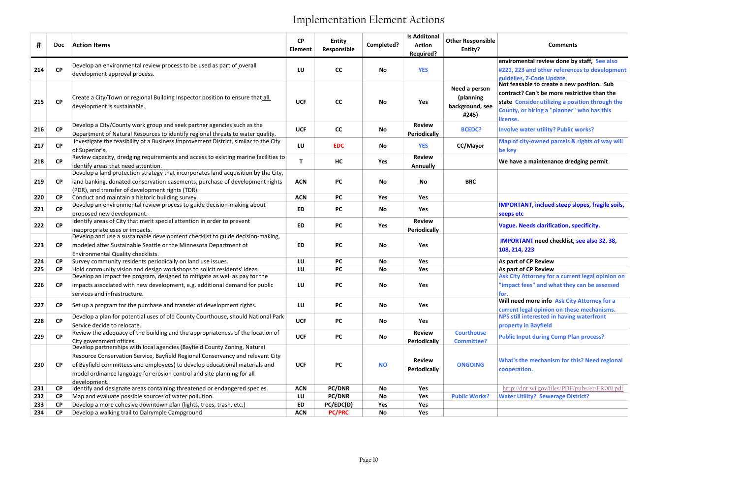### Comments

## anism for this? Need regional

| #   | <b>Doc</b> | <b>Action Items</b>                                                                                  | CP<br>Element | <b>Entity</b><br>Responsible | Completed? | <b>Is Additonal</b><br><b>Action</b><br><b>Required?</b> | <b>Other Responsible</b><br>Entity? | <b>Comments</b>                                                                                |
|-----|------------|------------------------------------------------------------------------------------------------------|---------------|------------------------------|------------|----------------------------------------------------------|-------------------------------------|------------------------------------------------------------------------------------------------|
|     |            |                                                                                                      |               |                              |            |                                                          |                                     | enviromental review done by staff, See also                                                    |
| 214 | <b>CP</b>  | Develop an environmental review process to be used as part of overall                                | LU            | cc                           | <b>No</b>  | <b>YES</b>                                               |                                     | #221, 223 and other references to developmen                                                   |
|     |            | development approval process.                                                                        |               |                              |            |                                                          |                                     | guidelies, Z-Code Update                                                                       |
|     |            |                                                                                                      |               |                              |            |                                                          | Need a person                       | Not feasable to create a new position. Sub                                                     |
|     |            | Create a City/Town or regional Building Inspector position to ensure that all                        |               |                              |            |                                                          | (planning                           | contract? Can't be more restrictive than the                                                   |
| 215 | <b>CP</b>  | development is sustainable.                                                                          | <b>UCF</b>    | cc                           | <b>No</b>  | Yes                                                      | background, see                     | state Consider utilizing a position through the                                                |
|     |            |                                                                                                      |               |                              |            |                                                          | #245)                               | County, or hiring a "planner" who has this                                                     |
|     |            |                                                                                                      |               |                              |            |                                                          |                                     | license.                                                                                       |
| 216 | <b>CP</b>  | Develop a City/County work group and seek partner agencies such as the                               | <b>UCF</b>    | cc                           | No         | <b>Review</b>                                            | <b>BCEDC?</b>                       | <b>Involve water utility? Public works?</b>                                                    |
|     |            | Department of Natural Resources to identify regional threats to water quality.                       |               |                              |            | <b>Periodically</b>                                      |                                     |                                                                                                |
| 217 | <b>CP</b>  | Investigate the feasibility of a Business Improvement District, similar to the City                  | LU            | <b>EDC</b>                   | No         | <b>YES</b>                                               | CC/Mayor                            | Map of city-owned parcels & rights of way will                                                 |
|     |            | of Superior's.<br>Review capacity, dredging requirements and access to existing marine facilities to |               |                              |            | <b>Review</b>                                            |                                     | be key                                                                                         |
| 218 | <b>CP</b>  | identify areas that need attention.                                                                  | Τ             | HC                           | Yes        | Annually                                                 |                                     | We have a maintenance dredging permit                                                          |
|     |            | Develop a land protection strategy that incorporates land acquisition by the City,                   |               |                              |            |                                                          |                                     |                                                                                                |
| 219 | <b>CP</b>  | land banking, donated conservation easements, purchase of development rights                         | <b>ACN</b>    | <b>PC</b>                    | <b>No</b>  | No                                                       | <b>BRC</b>                          |                                                                                                |
|     |            | (PDR), and transfer of development rights (TDR).                                                     |               |                              |            |                                                          |                                     |                                                                                                |
| 220 | <b>CP</b>  | Conduct and maintain a historic building survey.                                                     | <b>ACN</b>    | <b>PC</b>                    | Yes        | Yes                                                      |                                     |                                                                                                |
|     |            | Develop an environmental review process to guide decision-making about                               |               |                              |            |                                                          |                                     | <b>IMPORTANT, inclued steep slopes, fragile soils,</b>                                         |
| 221 | <b>CP</b>  | proposed new development.                                                                            | ED            | <b>PC</b>                    | No         | Yes                                                      |                                     | seeps etc                                                                                      |
|     | <b>CP</b>  | Identify areas of City that merit special attention in order to prevent                              |               |                              |            | <b>Review</b>                                            |                                     |                                                                                                |
| 222 |            | inappropriate uses or impacts.                                                                       | ED            | <b>PC</b>                    | Yes        | <b>Periodically</b>                                      |                                     | <b>Vague. Needs clarification, specificity.</b>                                                |
|     |            | Develop and use a sustainable development checklist to guide decision-making,                        |               |                              |            |                                                          |                                     | <b>IMPORTANT need checklist, see also 32, 38,</b>                                              |
| 223 | <b>CP</b>  | modeled after Sustainable Seattle or the Minnesota Department of                                     | ED            | <b>PC</b>                    | No         | Yes                                                      |                                     | 108, 214, 223                                                                                  |
|     |            | Environmental Quality checklists.                                                                    |               |                              |            |                                                          |                                     |                                                                                                |
| 224 | <b>CP</b>  | Survey community residents periodically on land use issues.                                          | LU            | <b>PC</b>                    | No         | Yes                                                      |                                     | As part of CP Review                                                                           |
| 225 | CP         | Hold community vision and design workshops to solicit residents' ideas.                              | LU            | <b>PC</b>                    | <b>No</b>  | Yes                                                      |                                     | As part of CP Review                                                                           |
|     |            | Develop an impact fee program, designed to mitigate as well as pay for the                           |               |                              |            |                                                          |                                     | Ask City Attorney for a current legal opinion on                                               |
| 226 | CP         | impacts associated with new development, e.g. additional demand for public                           | LU            | <b>PC</b>                    | No         | Yes                                                      |                                     | "impact fees" and what they can be assessed                                                    |
|     |            | services and infrastructure.                                                                         |               |                              |            |                                                          |                                     | for.<br>Will need more info Ask City Attorney for a                                            |
| 227 | <b>CP</b>  | Set up a program for the purchase and transfer of development rights.                                | LU            | <b>PC</b>                    | <b>No</b>  | Yes                                                      |                                     |                                                                                                |
|     |            | Develop a plan for potential uses of old County Courthouse, should National Park                     |               |                              |            |                                                          |                                     | current legal opinion on these mechanisms.<br><b>NPS still interested in having waterfront</b> |
| 228 | CP         | Service decide to relocate.                                                                          | <b>UCF</b>    | <b>PC</b>                    | No         | Yes                                                      |                                     | property in Bayfield                                                                           |
|     |            | Review the adequacy of the building and the appropriateness of the location of                       |               |                              |            | <b>Review</b>                                            | <b>Courthouse</b>                   |                                                                                                |
| 229 | <b>CP</b>  | City government offices.                                                                             | <b>UCF</b>    | <b>PC</b>                    | No         | <b>Periodically</b>                                      | <b>Committee?</b>                   | <b>Public Input during Comp Plan process?</b>                                                  |
|     |            | Develop partnerships with local agencies (Bayfield County Zoning, Natural                            |               |                              |            |                                                          |                                     |                                                                                                |
|     |            | Resource Conservation Service, Bayfield Regional Conservancy and relevant City                       |               |                              |            | <b>Review</b>                                            |                                     |                                                                                                |
| 230 | CP         | of Bayfield committees and employees) to develop educational materials and                           | <b>UCF</b>    | <b>PC</b>                    | <b>NO</b>  |                                                          | <b>ONGOING</b>                      | <b>What's the mechanism for this? Need regional</b>                                            |
|     |            | model ordinance language for erosion control and site planning for all                               |               |                              |            | <b>Periodically</b>                                      |                                     | cooperation.                                                                                   |
|     |            | development.                                                                                         |               |                              |            |                                                          |                                     |                                                                                                |
| 231 | CP         | Identify and designate areas containing threatened or endangered species.                            | <b>ACN</b>    | <b>PC/DNR</b>                | No         | Yes                                                      |                                     | http://dnr.wi.gov/files/PDF/pubs/er/ER001.pdf                                                  |
| 232 | <b>CP</b>  | Map and evaluate possible sources of water pollution.                                                | LU            | <b>PC/DNR</b>                | No         | Yes                                                      | <b>Public Works?</b>                | <b>Water Utility? Sewerage District?</b>                                                       |
| 233 | <b>CP</b>  | Develop a more cohesive downtown plan (lights, trees, trash, etc.)                                   | ED            | PC/EDC(D)                    | Yes        | Yes                                                      |                                     |                                                                                                |
| 234 | CP         | Develop a walking trail to Dalrymple Campground                                                      | <b>ACN</b>    | <b>PC/PRC</b>                | <b>No</b>  | Yes                                                      |                                     |                                                                                                |